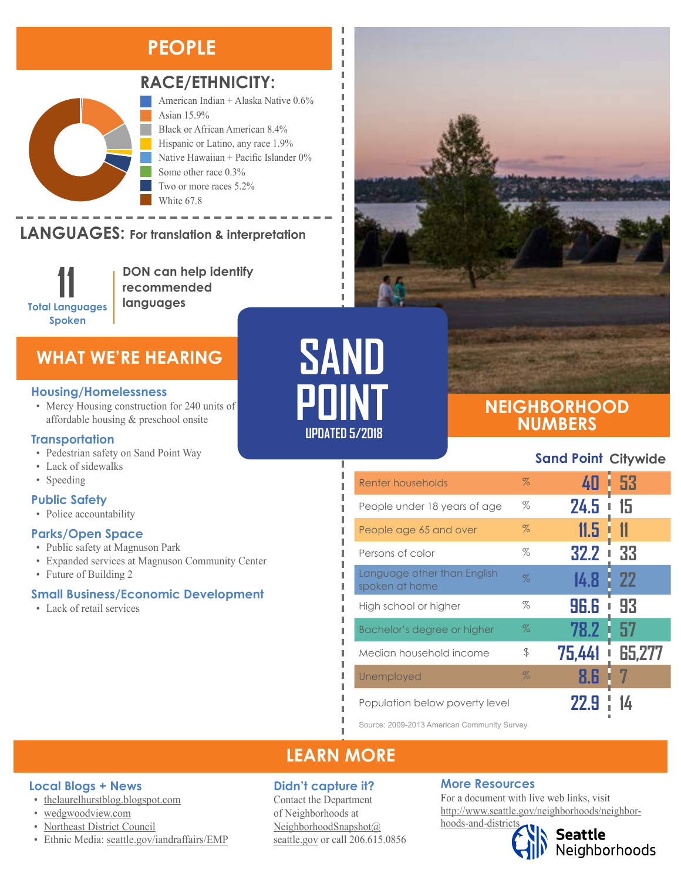### **PEOPLE**



### **RACE/ETHNICITY:**

American Indian + Alaska Native 0.6% Asian 15.9% Black or African American 8.4% Hispanic or Latino, any race 1.9% Native Hawaiian + Pacific Islander 0% Some other race 0.3% Two or more races 5.2%

LANGUAGES: For translation & interpretation native Languages.



**DON can help identify recommended languages**

White 67.8

### **WHAT WE'RE HEARING**

#### **Housing/Homelessness**

• Mercy Housing construction for 240 units of affordable housing & preschool onsite

#### **Transportation**

- Pedestrian safety on Sand Point Way
- Lack of sidewalks
- Speeding

#### **Public Safety**

• Police accountability

#### **Parks/Open Space**

- Public safety at Magnuson Park
- Expanded services at Magnuson Community Center
- Future of Building 2

### **Small Business/Economic Development**

• Lack of retail services



Ï I I л л

л Л I I л Л I I I I I I I Ï I



### **NEIGHBORHOOD NUMBERS**

### **Sand Point Citywide**

| Renter households                             | $\%$ | 40        | -53<br>Г  |
|-----------------------------------------------|------|-----------|-----------|
| People under 18 years of age                  | %    | 24.5      | 15<br>I   |
| People age 65 and over                        | $\%$ | 11.5      |           |
| Persons of color                              | %    | 32.2<br>ı | 33        |
| Language other than English<br>spoken at home | $\%$ | 14.8      | <b>22</b> |
| High school or higher                         | %    | 96.6<br>ı | 93        |
| Bachelor's degree or higher                   | $\%$ | 78.2      | 57        |
| Median household income                       | \$   | 75,441    | 65.277    |
| Unemployed                                    | $\%$ | 8.6       |           |
| Population below poverty level                |      | 22.9      |           |

Source: 2009-2013 American Community Survey

### **LEARN MORE**

### **Didn't capture it?**

Contact the Department of Neighborhoods at [NeighborhoodSnapshot@](mailto:NeighborhoodSnapshot%40%0Aseattle.gov?subject=) [seattle.gov](mailto:NeighborhoodSnapshot%40%0Aseattle.gov?subject=) or call 206.615.0856

### **More Resources**

For a document with live web links, visit [http://www.seattle.gov/neighborhoods/neighbor](http://www.seattle.gov/neighborhoods/neighborhoods-and-districts)[hoods-and-districts](http://www.seattle.gov/neighborhoods/neighborhoods-and-districts)

Seattle<br>Neighborhoods

### **Local Blogs + News**

- [thelaurelhurstblog.blogspot.com](http://thelaurelhurstblog.blogspot.com/)
- [wedgwoodview.com](https://wedgwoodview.com/)
- [Northeast District Council](https://northeastdistrictcouncil.wordpress.com/)
- Ethnic Media: [seattle.gov/iandraffairs/EMP](http://www.seattle.gov/iandraffairs/EMP)